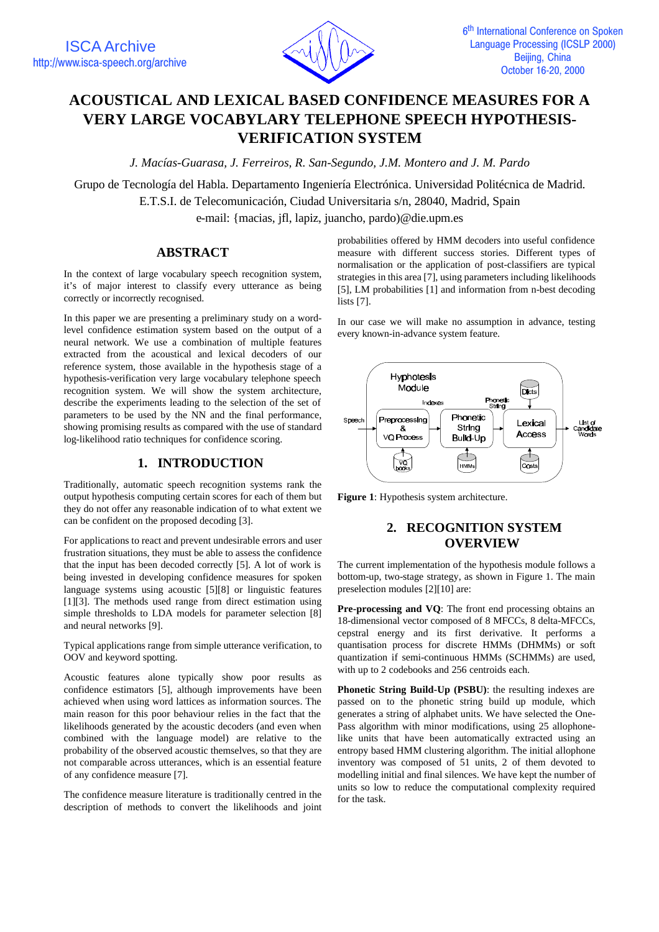

# **ACOUSTICAL AND LEXICAL BASED CONFIDENCE MEASURES FOR A VERY LARGE VOCABYLARY TELEPHONE SPEECH HYPOTHESIS-VERIFICATION SYSTEM**

*J. Macías-Guarasa, J. Ferreiros, R. San-Segundo, J.M. Montero and J. M. Pardo*

Grupo de Tecnología del Habla. Departamento Ingeniería Electrónica. Universidad Politécnica de Madrid. E.T.S.I. de Telecomunicación, Ciudad Universitaria s/n, 28040, Madrid, Spain e-mail: {macias, jfl, lapiz, juancho, pardo)@die.upm.es

#### **ABSTRACT**

In the context of large vocabulary speech recognition system, it's of major interest to classify every utterance as being correctly or incorrectly recognised.

In this paper we are presenting a preliminary study on a wordlevel confidence estimation system based on the output of a neural network. We use a combination of multiple features extracted from the acoustical and lexical decoders of our reference system, those available in the hypothesis stage of a hypothesis-verification very large vocabulary telephone speech recognition system. We will show the system architecture, describe the experiments leading to the selection of the set of parameters to be used by the NN and the final performance, showing promising results as compared with the use of standard log-likelihood ratio techniques for confidence scoring.

## **1. INTRODUCTION**

Traditionally, automatic speech recognition systems rank the output hypothesis computing certain scores for each of them but they do not offer any reasonable indication of to what extent we can be confident on the proposed decoding [3].

For applications to react and prevent undesirable errors and user frustration situations, they must be able to assess the confidence that the input has been decoded correctly [5]. A lot of work is being invested in developing confidence measures for spoken language systems using acoustic [5][8] or linguistic features [1][3]. The methods used range from direct estimation using simple thresholds to LDA models for parameter selection [8] and neural networks [9].

Typical applications range from simple utterance verification, to OOV and keyword spotting.

Acoustic features alone typically show poor results as confidence estimators [5], although improvements have been achieved when using word lattices as information sources. The main reason for this poor behaviour relies in the fact that the likelihoods generated by the acoustic decoders (and even when combined with the language model) are relative to the probability of the observed acoustic themselves, so that they are not comparable across utterances, which is an essential feature of any confidence measure [7].

The confidence measure literature is traditionally centred in the description of methods to convert the likelihoods and joint

probabilities offered by HMM decoders into useful confidence measure with different success stories. Different types of normalisation or the application of post-classifiers are typical strategies in this area [7], using parameters including likelihoods [5], LM probabilities [1] and information from n-best decoding lists [7].

In our case we will make no assumption in advance, testing every known-in-advance system feature.



**Figure 1**: Hypothesis system architecture.

# **2. RECOGNITION SYSTEM OVERVIEW**

The current implementation of the hypothesis module follows a bottom-up, two-stage strategy, as shown in Figure 1. The main preselection modules [2][10] are:

**Pre-processing and VO**: The front end processing obtains an 18-dimensional vector composed of 8 MFCCs, 8 delta-MFCCs, cepstral energy and its first derivative. It performs a quantisation process for discrete HMMs (DHMMs) or soft quantization if semi-continuous HMMs (SCHMMs) are used, with up to 2 codebooks and 256 centroids each.

**Phonetic String Build-Up (PSBU)**: the resulting indexes are passed on to the phonetic string build up module, which generates a string of alphabet units. We have selected the One-Pass algorithm with minor modifications, using 25 allophonelike units that have been automatically extracted using an entropy based HMM clustering algorithm. The initial allophone inventory was composed of 51 units, 2 of them devoted to modelling initial and final silences. We have kept the number of units so low to reduce the computational complexity required for the task.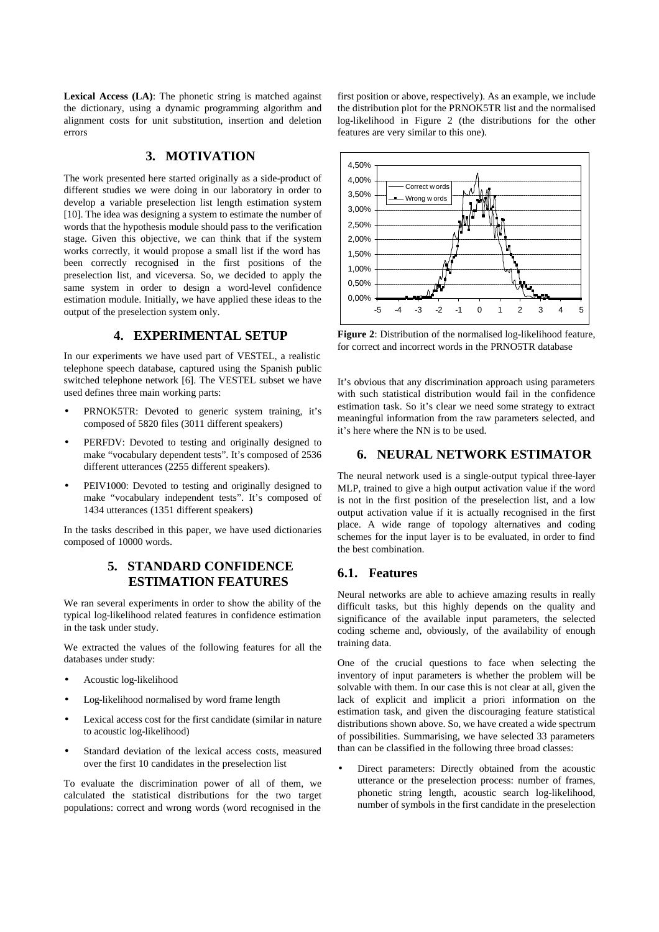**Lexical Access (LA)**: The phonetic string is matched against the dictionary, using a dynamic programming algorithm and alignment costs for unit substitution, insertion and deletion errors

# **3. MOTIVATION**

The work presented here started originally as a side-product of different studies we were doing in our laboratory in order to develop a variable preselection list length estimation system [10]. The idea was designing a system to estimate the number of words that the hypothesis module should pass to the verification stage. Given this objective, we can think that if the system works correctly, it would propose a small list if the word has been correctly recognised in the first positions of the preselection list, and viceversa. So, we decided to apply the same system in order to design a word-level confidence estimation module. Initially, we have applied these ideas to the output of the preselection system only.

### **4. EXPERIMENTAL SETUP**

In our experiments we have used part of VESTEL, a realistic telephone speech database, captured using the Spanish public switched telephone network [6]. The VESTEL subset we have used defines three main working parts:

- PRNOK5TR: Devoted to generic system training, it's composed of 5820 files (3011 different speakers)
- PERFDV: Devoted to testing and originally designed to make "vocabulary dependent tests". It's composed of 2536 different utterances (2255 different speakers).
- PEIV1000: Devoted to testing and originally designed to make "vocabulary independent tests". It's composed of 1434 utterances (1351 different speakers)

In the tasks described in this paper, we have used dictionaries composed of 10000 words.

# **5. STANDARD CONFIDENCE ESTIMATION FEATURES**

We ran several experiments in order to show the ability of the typical log-likelihood related features in confidence estimation in the task under study.

We extracted the values of the following features for all the databases under study:

- Acoustic log-likelihood
- Log-likelihood normalised by word frame length
- Lexical access cost for the first candidate (similar in nature to acoustic log-likelihood)
- Standard deviation of the lexical access costs, measured over the first 10 candidates in the preselection list

To evaluate the discrimination power of all of them, we calculated the statistical distributions for the two target populations: correct and wrong words (word recognised in the first position or above, respectively). As an example, we include the distribution plot for the PRNOK5TR list and the normalised log-likelihood in Figure 2 (the distributions for the other features are very similar to this one).



**Figure 2**: Distribution of the normalised log-likelihood feature, for correct and incorrect words in the PRNO5TR database

It's obvious that any discrimination approach using parameters with such statistical distribution would fail in the confidence estimation task. So it's clear we need some strategy to extract meaningful information from the raw parameters selected, and it's here where the NN is to be used.

## **6. NEURAL NETWORK ESTIMATOR**

The neural network used is a single-output typical three-layer MLP, trained to give a high output activation value if the word is not in the first position of the preselection list, and a low output activation value if it is actually recognised in the first place. A wide range of topology alternatives and coding schemes for the input layer is to be evaluated, in order to find the best combination.

#### **6.1. Features**

Neural networks are able to achieve amazing results in really difficult tasks, but this highly depends on the quality and significance of the available input parameters, the selected coding scheme and, obviously, of the availability of enough training data.

One of the crucial questions to face when selecting the inventory of input parameters is whether the problem will be solvable with them. In our case this is not clear at all, given the lack of explicit and implicit a priori information on the estimation task, and given the discouraging feature statistical distributions shown above. So, we have created a wide spectrum of possibilities. Summarising, we have selected 33 parameters than can be classified in the following three broad classes:

• Direct parameters: Directly obtained from the acoustic utterance or the preselection process: number of frames, phonetic string length, acoustic search log-likelihood, number of symbols in the first candidate in the preselection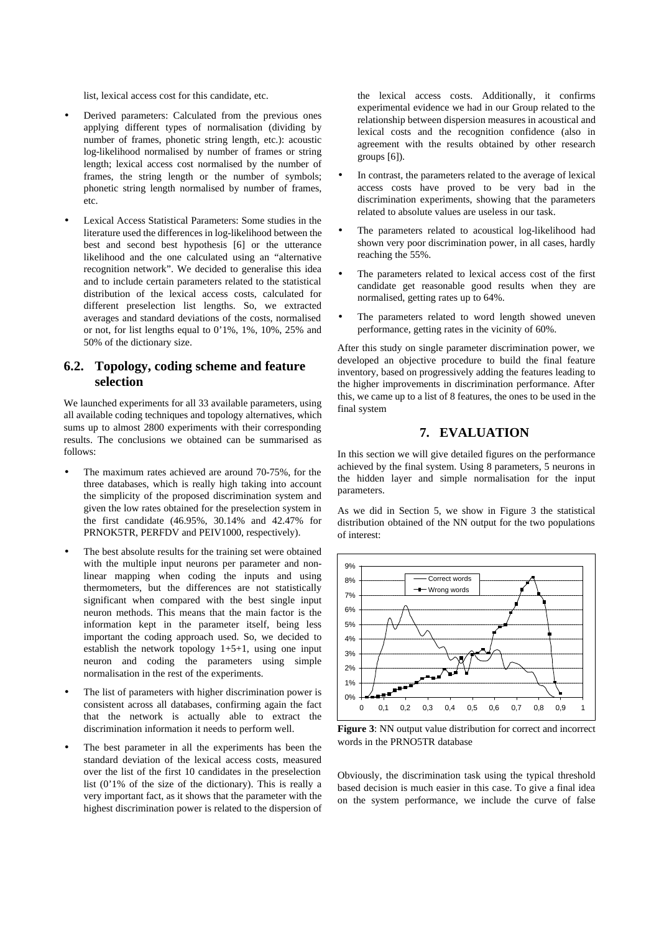list, lexical access cost for this candidate, etc.

- Derived parameters: Calculated from the previous ones applying different types of normalisation (dividing by number of frames, phonetic string length, etc.): acoustic log-likelihood normalised by number of frames or string length; lexical access cost normalised by the number of frames, the string length or the number of symbols; phonetic string length normalised by number of frames, etc.
- Lexical Access Statistical Parameters: Some studies in the literature used the differences in log-likelihood between the best and second best hypothesis [6] or the utterance likelihood and the one calculated using an "alternative recognition network". We decided to generalise this idea and to include certain parameters related to the statistical distribution of the lexical access costs, calculated for different preselection list lengths. So, we extracted averages and standard deviations of the costs, normalised or not, for list lengths equal to 0'1%, 1%, 10%, 25% and 50% of the dictionary size.

## **6.2. Topology, coding scheme and feature selection**

We launched experiments for all 33 available parameters, using all available coding techniques and topology alternatives, which sums up to almost 2800 experiments with their corresponding results. The conclusions we obtained can be summarised as follows:

- The maximum rates achieved are around 70-75%, for the three databases, which is really high taking into account the simplicity of the proposed discrimination system and given the low rates obtained for the preselection system in the first candidate (46.95%, 30.14% and 42.47% for PRNOK5TR, PERFDV and PEIV1000, respectively).
- The best absolute results for the training set were obtained with the multiple input neurons per parameter and nonlinear mapping when coding the inputs and using thermometers, but the differences are not statistically significant when compared with the best single input neuron methods. This means that the main factor is the information kept in the parameter itself, being less important the coding approach used. So, we decided to establish the network topology  $1+5+1$ , using one input neuron and coding the parameters using simple normalisation in the rest of the experiments.
- The list of parameters with higher discrimination power is consistent across all databases, confirming again the fact that the network is actually able to extract the discrimination information it needs to perform well.
- The best parameter in all the experiments has been the standard deviation of the lexical access costs, measured over the list of the first 10 candidates in the preselection list (0'1% of the size of the dictionary). This is really a very important fact, as it shows that the parameter with the highest discrimination power is related to the dispersion of

the lexical access costs. Additionally, it confirms experimental evidence we had in our Group related to the relationship between dispersion measures in acoustical and lexical costs and the recognition confidence (also in agreement with the results obtained by other research groups [6]).

- In contrast, the parameters related to the average of lexical access costs have proved to be very bad in the discrimination experiments, showing that the parameters related to absolute values are useless in our task.
- The parameters related to acoustical log-likelihood had shown very poor discrimination power, in all cases, hardly reaching the 55%.
- The parameters related to lexical access cost of the first candidate get reasonable good results when they are normalised, getting rates up to 64%.
- The parameters related to word length showed uneven performance, getting rates in the vicinity of 60%.

After this study on single parameter discrimination power, we developed an objective procedure to build the final feature inventory, based on progressively adding the features leading to the higher improvements in discrimination performance. After this, we came up to a list of 8 features, the ones to be used in the final system

## **7. EVALUATION**

In this section we will give detailed figures on the performance achieved by the final system. Using 8 parameters, 5 neurons in the hidden layer and simple normalisation for the input parameters.

As we did in Section 5, we show in Figure 3 the statistical distribution obtained of the NN output for the two populations of interest:



**Figure 3**: NN output value distribution for correct and incorrect words in the PRNO5TR database

Obviously, the discrimination task using the typical threshold based decision is much easier in this case. To give a final idea on the system performance, we include the curve of false